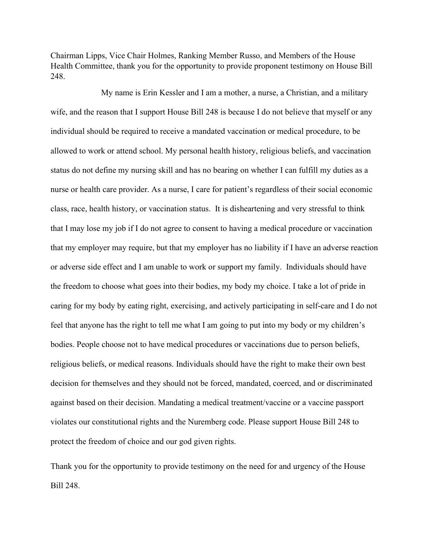Chairman Lipps, Vice Chair Holmes, Ranking Member Russo, and Members of the House Health Committee, thank you for the opportunity to provide proponent testimony on House Bill 248.

 My name is Erin Kessler and I am a mother, a nurse, a Christian, and a military wife, and the reason that I support House Bill 248 is because I do not believe that myself or any individual should be required to receive a mandated vaccination or medical procedure, to be allowed to work or attend school. My personal health history, religious beliefs, and vaccination status do not define my nursing skill and has no bearing on whether I can fulfill my duties as a nurse or health care provider. As a nurse, I care for patient's regardless of their social economic class, race, health history, or vaccination status. It is disheartening and very stressful to think that I may lose my job if I do not agree to consent to having a medical procedure or vaccination that my employer may require, but that my employer has no liability if I have an adverse reaction or adverse side effect and I am unable to work or support my family. Individuals should have the freedom to choose what goes into their bodies, my body my choice. I take a lot of pride in caring for my body by eating right, exercising, and actively participating in self-care and I do not feel that anyone has the right to tell me what I am going to put into my body or my children's bodies. People choose not to have medical procedures or vaccinations due to person beliefs, religious beliefs, or medical reasons. Individuals should have the right to make their own best decision for themselves and they should not be forced, mandated, coerced, and or discriminated against based on their decision. Mandating a medical treatment/vaccine or a vaccine passport violates our constitutional rights and the Nuremberg code. Please support House Bill 248 to protect the freedom of choice and our god given rights.

Thank you for the opportunity to provide testimony on the need for and urgency of the House Bill 248.